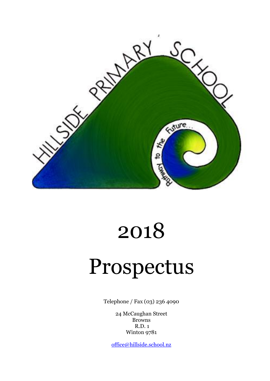

# 2018

# Prospectus

Telephone / Fax (03) 236 4090

24 McCaughan Street Browns R.D. 1 Winton 9781

[office@hillside.school.nz](mailto:office@hillside.school.nz)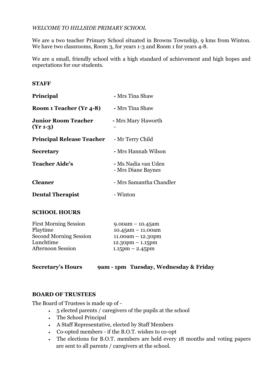# *WELCOME TO HILLSIDE PRIMARY SCHOOL*

We are a two teacher Primary School situated in Browns Township, 9 kms from Winton. We have two classrooms, Room 3, for years 1-3 and Room 1 for years 4-8.

We are a small, friendly school with a high standard of achievement and high hopes and expectations for our students.

# **STAFF**

| <b>Principal</b>                         | - Mrs Tina Shaw                           |
|------------------------------------------|-------------------------------------------|
| Room 1 Teacher (Yr 4-8)                  | - Mrs Tina Shaw                           |
| <b>Junior Room Teacher</b><br>$(Yr 1-3)$ | - Mrs Mary Haworth                        |
| <b>Principal Release Teacher</b>         | - Mr Terry Child                          |
| <b>Secretary</b>                         | - Mrs Hannah Wilson                       |
| <b>Teacher Aide's</b>                    | - Ms Nadia van Uden<br>- Mrs Diane Baynes |
| <b>Cleaner</b>                           | - Mrs Samantha Chandler                   |
| <b>Dental Therapist</b>                  | - Winton                                  |

# **SCHOOL HOURS**

| $9.00am - 10.45am$                 |
|------------------------------------|
| $10.45$ am - 11.00am               |
| $11.00am - 12.30pm$                |
| $12.30 \text{pm} - 1.15 \text{pm}$ |
| $1.15$ pm $- 2.45$ pm              |
|                                    |

# **Secretary's Hours 9am - 1pm Tuesday, Wednesday & Friday**

# **BOARD OF TRUSTEES**

The Board of Trustees is made up of -

- 5 elected parents / caregivers of the pupils at the school
- The School Principal
- A Staff Representative, elected by Staff Members
- Co-opted members if the B.O.T. wishes to co-opt
- The elections for B.O.T. members are held every 18 months and voting papers are sent to all parents / caregivers at the school.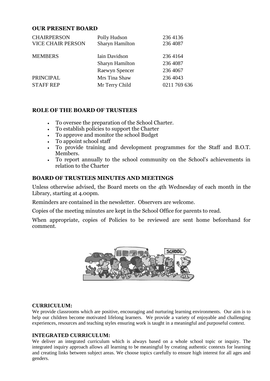# **OUR PRESENT BOARD**

| Polly Hudson           | 236 4136     |
|------------------------|--------------|
| <b>Sharyn Hamilton</b> | 236 4087     |
| Iain Davidson          | 236 4164     |
| <b>Sharyn Hamilton</b> | 236 4087     |
| Raewyn Spencer         | 236 4067     |
| Mrs Tina Shaw          | 236 4043     |
| Mr Terry Child         | 0211 769 636 |
|                        |              |

# **ROLE OF THE BOARD OF TRUSTEES**

- To oversee the preparation of the School Charter.
- To establish policies to support the Charter
- To approve and monitor the school Budget
- To appoint school staff
- To provide training and development programmes for the Staff and B.O.T. Members.
- To report annually to the school community on the School's achievements in relation to the Charter

#### **BOARD OF TRUSTEES MINUTES AND MEETINGS**

Unless otherwise advised, the Board meets on the 4th Wednesday of each month in the Library, starting at 4.00pm.

Reminders are contained in the newsletter. Observers are welcome.

Copies of the meeting minutes are kept in the School Office for parents to read.

When appropriate, copies of Policies to be reviewed are sent home beforehand for comment.



#### **CURRICULUM:**

We provide classrooms which are positive, encouraging and nurturing learning environments. Our aim is to help our children become motivated lifelong learners. We provide a variety of enjoyable and challenging experiences, resources and teaching styles ensuring work is taught in a meaningful and purposeful context.

#### **INTEGRATED CURRICULUM:**

We deliver an integrated curriculum which is always based on a whole school topic or inquiry. The integrated inquiry approach allows all learning to be meaningful by creating authentic contexts for learning and creating links between subject areas. We choose topics carefully to ensure high interest for all ages and genders.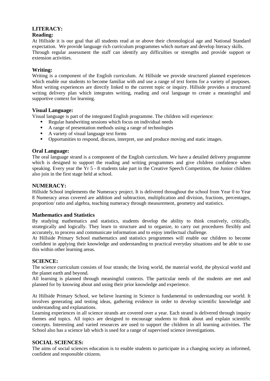# **LITERACY:**

# **Reading:**

At Hillside it is our goal that all students read at or above their chronological age and National Standard expectation. We provide language rich curriculum programmes which nurture and develop literacy skills. Through regular assessment the staff can identify any difficulties or strengths and provide support or extension activities.

## **Writing:**

Writing is a component of the English curriculum. At Hillside we provide structured planned experiences which enable our students to become familiar with and use a range of text forms for a variety of purposes. Most writing experiences are directly linked to the current topic or inquiry. Hillside provides a structured writing delivery plan which integrates writing, reading and oral language to create a meaningful and supportive context for learning.

#### **Visual Language:**

Visual language is part of the integrated English programme. The children will experience:

- Regular handwriting sessions which focus on individual needs
- A range of presentation methods using a range of technologies
- A variety of visual language text forms
- Opportunities to respond, discuss, interpret, use and produce moving and static images.

#### **Oral Language:**

The oral language strand is a component of the English curriculum. We have a detailed delivery programme which is designed to support the reading and writing programmes and give children confidence when speaking. Every year the Yr 5 - 8 students take part in the Creative Speech Competition, the Junior children also join in the first stage held at school.

#### **NUMERACY:**

Hillside School implements the Numeracy project. It is delivered throughout the school from Year 0 to Year 8 Numeracy areas covered are addition and subtraction, multiplication and division, fractions, percentages, proportion/ ratio and algebra, teaching numeracy through measurement, geometry and statistics.

#### **Mathematics and Statistics**

By studying mathematics and statistics, students develop the ability to think creatively, critically, strategically and logically. They learn to structure and to organize, to carry out procedures flexibly and accurately, to process and communicate information and to enjoy intellectual challenge.

At Hillside Primary School mathematics and statistics programmes will enable our children to become confident in applying their knowledge and understanding to practical everyday situations and be able to use this within other learning areas.

#### **SCIENCE:**

The science curriculum consists of four strands; the living world, the material world, the physical world and the planet earth and beyond.

All learning is planned through meaningful contexts. The particular needs of the students are met and planned for by knowing about and using their prior knowledge and experience.

At Hillside Primary School, we believe learning in Science is fundamental to understanding our world. It involves generating and testing ideas, gathering evidence in order to develop scientific knowledge and understanding and explanations.

Learning experiences in all science strands are covered over a year. Each strand is delivered through inquiry themes and topics. All topics are designed to encourage students to think about and explain scientific concepts. Interesting and varied resources are used to support the children in all learning activities. The School also has a science lab which is used for a range of supervised science investigations.

#### **SOCIAL SCIENCES:**

The aims of social sciences education is to enable students to participate in a changing society as informed, confident and responsible citizens.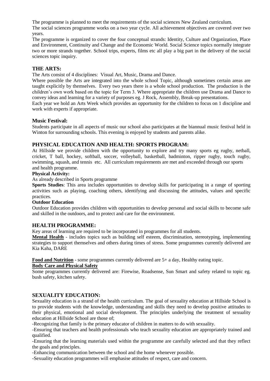The programme is planned to meet the requirements of the social sciences New Zealand curriculum.

The social sciences programme works on a two year cycle. All achievement objectives are covered over two years.

The programme is organized to cover the four conceptual strands: Identity, Culture and Organization, Place and Environment, Continuity and Change and the Economic World. Social Science topics normally integrate two or more strands together. School trips, experts, films etc all play a big part in the delivery of the social sciences topic inquiry.

## **THE ARTS:**

The Arts consist of 4 disciplines: Visual Art, Music, Drama and Dance.

Where possible the Arts are integrated into the whole school Topic, although sometimes certain areas are taught explicitly by themselves. Every two years there is a whole school production. The production is the children's own work based on the topic for Term 3. Where appropriate the children use Drama and Dance to convey ideas and learning for a variety of purposes eg. J Rock, Assembly, Break-up presentations.

Each year we hold an Arts Week which provides an opportunity for the children to focus on 1 discipline and work with experts if appropriate.

#### **Music Festival:**

Students participate in all aspects of music our school also participates at the biannual music festival held in Winton for surrounding schools. This evening is enjoyed by students and parents alike.

#### **PHYSICAL EDUCATION AND HEALTH: SPORTS PROGRAM:**

At Hillside we provide children with the opportunity to explore and try many sports eg rugby, netball, cricket, T ball, hockey, softball, soccer, volleyball, basketball, badminton, ripper rugby, touch rugby, swimming, squash, and tennis etc. All curriculum requirements are met and exceeded through our sports and health programme.

#### **Physical Activity:**

As already described in Sports programme

**Sports Studies**: This area includes opportunities to develop skills for participating in a range of sporting activities such as playing, coaching others, identifying and discussing the attitudes, values and specific practices.

#### **Outdoor Education**

Outdoor Education provides children with opportunities to develop personal and social skills to become safe and skilled in the outdoors, and to protect and care for the environment.

#### **HEALTH PROGRAMME:**

Key areas of learning are required to be incorporated in programmes for all students.

**Mental Health** - includes topics such as building self esteem, discrimination, stereotyping, implementing strategies to support themselves and others during times of stress. Some programmes currently delivered are Kia Kaha, DARE

**Food and Nutrition** - some programmes currently delivered are 5+ a day, Healthy eating topic.

#### **Body Care and Physical Safety**

Some programmes currently delivered are: Firewise, Roadsense, Sun Smart and safety related to topic eg. bush safety, kitchen safety.

#### **SEXUALITY EDUCATION:**

Sexuality education is a strand of the health curriculum. The goal of sexuality education at Hillside School is to provide students with the knowledge, understanding and skills they need to develop positive attitudes to their physical, emotional and social development. The principles underlying the treatment of sexuality education at Hillside School are those of;

-Recognizing that family is the primary educator of children in matters to do with sexuality.

-Ensuring that teachers and health professionals who teach sexuality education are appropriately trained and qualified.

-Ensuring that the learning materials used within the programme are carefully selected and that they reflect the goals and principles.

-Enhancing communication between the school and the home whenever possible.

-Sexuality education programmes will emphasise attitudes of respect, care and concern.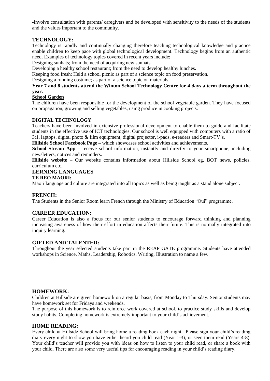-Involve consultation with parents/ caregivers and be developed with sensitivity to the needs of the students and the values important to the community.

# **TECHNOLOGY:**

Technology is rapidly and continually changing therefore teaching technological knowledge and practice enable children to keep pace with global technological development. Technology begins from an authentic need. Examples of technology topics covered in recent years include;

Designing sunhats; from the need of acquiring new sunhats.

Developing a healthy school restaurant; from the need to develop healthy lunches.

Keeping food fresh; Held a school picnic as part of a science topic on food preservation.

Designing a running costume; as part of a science topic on materials.

#### **Year 7 and 8 students attend the Winton School Technology Centre for 4 days a term throughout the year.**

#### **School Garden**

The children have been responsible for the development of the school vegetable garden. They have focused on propagation, growing and selling vegetables, using produce in cooking projects.

#### **DIGITAL TECHNOLOGY**

Teachers have been involved in extensive professional development to enable them to guide and facilitate students in the effective use of ICT technologies. Our school is well equipped with computers with a ratio of 3:1, laptops, digital photo & film equipment, digital projector, i-pads, e-readers and Smart-TV's.

**Hillside School Facebook Page –** which showcases school activities and achievements**.**

**School Stream App** – receive school information, instantly and directly to your smartphone, including newsletters, notices and reminders.

**Hillside website** – Our website contains information about Hillside School eg, BOT news, policies, curriculum etc.

# **LERNING LANGUAGES**

#### **TE REO MAORI:**

Maori language and culture are integrated into all topics as well as being taught as a stand alone subject.

#### **FRENCH:**

The Students in the Senior Room learn French through the Ministry of Education "Oui" programme.

#### **CAREER EDUCATION:**

Career Education is also a focus for our senior students to encourage forward thinking and planning increasing awareness of how their effort in education affects their future. This is normally integrated into inquiry learning.

#### **GIFTED AND TALENTED:**

Throughout the year selected students take part in the REAP GATE programme. Students have attended workshops in Science, Maths, Leadership, Robotics, Writing, Illustration to name a few.

#### **HOMEWORK:**

Children at Hillside are given homework on a regular basis, from Monday to Thursday. Senior students may have homework set for Fridays and weekends.

The purpose of this homework is to reinforce work covered at school, to practice study skills and develop study habits. Completing homework is extremely important to your child's achievement.

#### **HOME READING:**

Every child at Hillside School will bring home a reading book each night. Please sign your child's reading diary every night to show you have either heard you child read (Year 1-3), or seen them read (Years 4-8). Your child's teacher will provide you with ideas on how to listen to your child read, or share a book with your child. There are also some very useful tips for encouraging reading in your child's reading diary.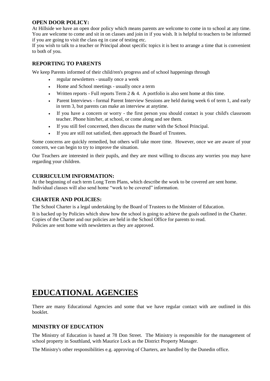#### **OPEN DOOR POLICY:**

At Hillside we have an open door policy which means parents are welcome to come in to school at any time. You are welcome to come and sit in on classes and join in if you wish. It is helpful to teachers to be informed if you are going to visit the class eg in case of testing etc.

If you wish to talk to a teacher or Principal about specific topics it is best to arrange a time that is convenient to both of you.

# **REPORTING TO PARENTS**

We keep Parents informed of their child/ren's progress and of school happenings through

- regular newsletters usually once a week
- Home and School meetings usually once a term
- Written reports Full reports Term  $2 \& 4$ . A portfolio is also sent home at this time.
- Parent Interviews formal Parent Interview Sessions are held during week 6 of term 1, and early in term 3, but parents can make an interview at anytime.
- If you have a concern or worry the first person you should contact is your child's classroom teacher. Phone him/her, at school, or come along and see them.
- If you still feel concerned, then discuss the matter with the School Principal.
- If you are still not satisfied, then approach the Board of Trustees.

Some concerns are quickly remedied, but others will take more time. However, once we are aware of your concern, we can begin to try to improve the situation.

Our Teachers are interested in their pupils, and they are most willing to discuss any worries you may have regarding your children.

#### **CURRICULUM INFORMATION:**

At the beginning of each term Long Term Plans, which describe the work to be covered are sent home. Individual classes will also send home "work to be covered" information.

#### **CHARTER AND POLICIES:**

The School Charter is a legal undertaking by the Board of Trustees to the Minister of Education.

It is backed up by Policies which show how the school is going to achieve the goals outlined in the Charter. Copies of the Charter and our policies are held in the School Office for parents to read. Policies are sent home with newsletters as they are approved.

# **EDUCATIONAL AGENCIES**

There are many Educational Agencies and some that we have regular contact with are outlined in this booklet.

#### **MINISTRY OF EDUCATION**

The Ministry of Education is based at 78 Don Street. The Ministry is responsible for the management of school property in Southland, with Maurice Lock as the District Property Manager.

The Ministry's other responsibilities e.g. approving of Charters, are handled by the Dunedin office.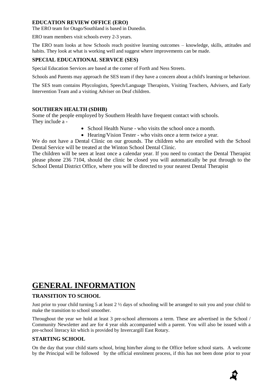# **EDUCATION REVIEW OFFICE (ERO)**

The ERO team for Otago/Southland is based in Dunedin.

ERO team members visit schools every 2-3 years.

The ERO team looks at how Schools reach positive learning outcomes – knowledge, skills, attitudes and habits. They look at what is working well and suggest where improvements can be made.

# **SPECIAL EDUCATIONAL SERVICE (SES)**

Special Education Services are based at the corner of Forth and Ness Streets.

Schools and Parents may approach the SES team if they have a concern about a child's learning or behaviour.

The SES team contains Phycologists, Speech/Language Therapists, Visiting Teachers, Advisers, and Early Intervention Team and a visiting Adviser on Deaf children.

# **SOUTHERN HEALTH (SDHB)**

Some of the people employed by Southern Health have frequent contact with schools. They include a -

- School Health Nurse who visits the school once a month.
- Hearing/Vision Tester who visits once a term twice a year.

We do not have a Dental Clinic on our grounds. The children who are enrolled with the School Dental Service will be treated at the Winton School Dental Clinic.

The children will be seen at least once a calendar year. If you need to contact the Dental Therapist please phone 236 7104, should the clinic be closed you will automatically be put through to the School Dental District Office, where you will be directed to your nearest Dental Therapist

# **GENERAL INFORMATION**

# **TRANSITION TO SCHOOL**

Just prior to your child turning 5 at least  $2 \frac{1}{2}$  days of schooling will be arranged to suit you and your child to make the transition to school smoother.

Throughout the year we hold at least 3 pre-school afternoons a term. These are advertised in the School / Community Newsletter and are for 4 year olds accompanied with a parent. You will also be issued with a pre-school literacy kit which is provided by Invercargill East Rotary.

#### **STARTING SCHOOL**

On the day that your child starts school, bring him/her along to the Office before school starts. A welcome by the Principal will be followed by the official enrolment process, if this has not been done prior to your

D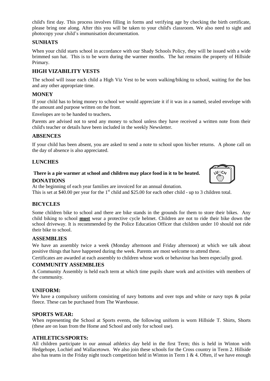child's first day. This process involves filling in forms and verifying age by checking the birth certificate, please bring one along. After this you will be taken to your child's classroom. We also need to sight and photocopy your child's immunisation documentation.

## **SUNHATS**

When your child starts school in accordance with our Shady Schools Policy, they will be issued with a wide brimmed sun hat. This is to be worn during the warmer months. The hat remains the property of Hillside Primary.

# **HIGH VIZABILITY VESTS**

The school will issue each child a High Viz Vest to be worn walking/biking to school, waiting for the bus and any other appropriate time.

## **MONEY**

If your child has to bring money to school we would appreciate it if it was in a named, sealed envelope with the amount and purpose written on the front.

Envelopes are to be handed to teachers**.**

Parents are advised not to send any money to school unless they have received a written note from their child's teacher or details have been included in the weekly Newsletter.

# **ABSENCES**

If your child has been absent, you are asked to send a note to school upon his/her returns. A phone call on the day of absence is also appreciated.

# **LUNCHES**

# **There is a pie warmer at school and children may place food in it to be heated. DONATIONS**



At the beginning of each year families are invoiced for an annual donation. This is set at \$40.00 per year for the  $1<sup>st</sup>$  child and \$25.00 for each other child - up to 3 children total.

#### **BICYCLES**

Some children bike to school and there are bike stands in the grounds for them to store their bikes. Any child biking to school **must** wear a protective cycle helmet. Children are not to ride their bike down the school driveway. It is recommended by the Police Education Officer that children under 10 should not ride their bike to school.

#### **ASSEMBLIES**

We have an assembly twice a week (Monday afternoon and Friday afternoon) at which we talk about positive things that have happened during the week. Parents are most welcome to attend these.

Certificates are awarded at each assembly to children whose work or behaviour has been especially good.

#### **COMMUNITY ASSEMBLIES**

A Community Assembly is held each term at which time pupils share work and activities with members of the community.

#### **UNIFORM:**

We have a compulsory uniform consisting of navy bottoms and over tops and white or navy tops & polar fleece. These can be purchased from The Warehouse.

#### **SPORTS WEAR:**

When representing the School at Sports events, the following uniform is worn Hillside T. Shirts, Shorts (these are on loan from the Home and School and only for school use).

#### **ATHLETICS/SPORTS:**

All children participate in our annual athletics day held in the first Term; this is held in Winton with Hedgehope, Lochiel and Wallacetown. We also join these schools for the Cross country in Term 2. Hillside also has teams in the Friday night touch competition held in Winton in Term  $1 \& 4$ . Often, if we have enough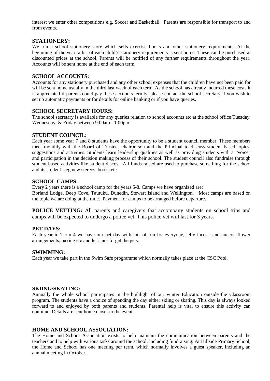interest we enter other competitions e.g. Soccer and Basketball. Parents are responsible for transport to and from events.

#### **STATIONERY:**

We run a school stationery store which sells exercise books and other stationery requirements. At the beginning of the year, a list of each child's stationery requirements is sent home. These can be purchased at discounted prices at the school. Parents will be notified of any further requirements throughout the year. Accounts will be sent home at the end of each term.

#### **SCHOOL ACCOUNTS:**

Accounts for any stationery purchased and any other school expenses that the children have not been paid for will be sent home usually in the third last week of each term. As the school has already incurred these costs it is appreciated if parents could pay these accounts termly, please contact the school secretary if you wish to set up automatic payments or for details for online banking or if you have queries.

#### **SCHOOL SECRETARY HOURS:**

The school secretary is available for any queries relation to school accounts etc at the school office Tuesday, Wednesday, & Friday between 9.00am - 1.00pm.

#### **STUDENT COUNCIL:**

Each year some year 7 and 8 students have the opportunity to be a student council member. These members meet monthly with the Board of Trustees chairperson and the Principal to discuss student based topics, suggestions and activities. Students learn leadership qualities as well as providing students with a "voice" and participation in the decision making process of their school. The student council also fundraise through student based activities like student discos. All funds raised are used to purchase something for the school and its student's eg new stereos, books etc.

#### **SCHOOL CAMPS:**

Every 2 years there is a school camp for the years 5-8. Camps we have organized are: Borland Lodge, Deep Cove, Tautuku, Dunedin, Stewart Island and Wellington. Most camps are based on the topic we are doing at the time. Payment for camps to be arranged before departure.

**POLICE VETTING:** All parents and caregivers that accompany students on school trips and camps will be expected to undergo a police vet. This police vet will last for 3 years.

#### **PET DAYS:**

Each year in Term 4 we have our pet day with lots of fun for everyone, jelly faces, sandsaucers, flower arrangements, baking etc and let's not forget the pets.

#### **SWIMMING:**

Each year we take part in the Swim Safe programme which normally takes place at the CSC Pool.

#### **SKIING/SKATING:**

Annually the whole school participates in the highlight of our winter Education outside the Classroom program. The students have a choice of spending the day either skiing or skating. This day is always looked forward to and enjoyed by both parents and students. Parental help is vital to ensure this activity can continue. Details are sent home closer to the event.

#### **HOME AND SCHOOL ASSOCIATION:**

The Home and School Association exists to help maintain the communication between parents and the teachers and to help with various tasks around the school, including fundraising. At Hillside Primary School, the Home and School has one meeting per term, which normally involves a guest speaker, including an annual meeting in October.